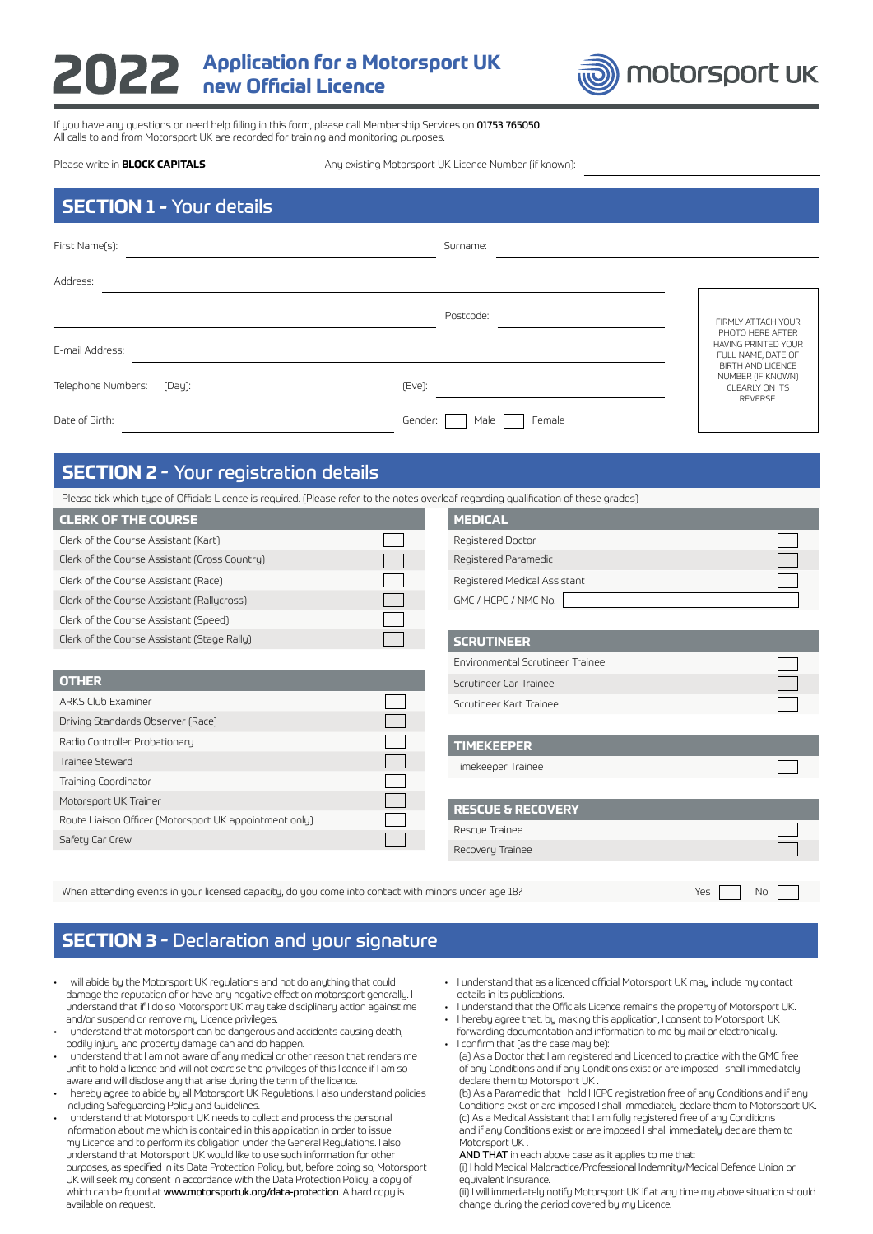# **Application for a Motorsport UK new Official Licence**



If you have any questions or need help filling in this form, please call Membership Services on 01753 765050. All calls to and from Motorsport UK are recorded for training and monitoring purposes.

### Please write in **BLOCK CAPITALS**

Any existing Motorsport UK Licence Number (if known):

| <b>SECTION 1 - Your details</b> |  |
|---------------------------------|--|
|                                 |  |

| First Name(s):                                                                                                                        |         | Surname:                         |                                                                             |
|---------------------------------------------------------------------------------------------------------------------------------------|---------|----------------------------------|-----------------------------------------------------------------------------|
| Address:                                                                                                                              |         |                                  |                                                                             |
|                                                                                                                                       |         | Postcode:                        | FIRMLY ATTACH YOUR<br>PHOTO HERE AFTER                                      |
| E-mail Address:                                                                                                                       |         |                                  | HAVING PRINTED YOUR<br>FULL NAME, DATE OF                                   |
| Telephone Numbers:<br>(Day):                                                                                                          | (Eve):  |                                  | BIRTH AND LICENCE<br>NUMBER (IF KNOWN)<br><b>CLEARLY ON ITS</b><br>REVERSE. |
| Date of Birth:                                                                                                                        | Gender: | Female<br>Male                   |                                                                             |
| <b>SECTION 2 - Your registration details</b>                                                                                          |         |                                  |                                                                             |
| Please tick which type of Officials Licence is required. (Please refer to the notes overleaf regarding qualification of these grades) |         |                                  |                                                                             |
| <b>CLERK OF THE COURSE</b>                                                                                                            |         | <b>MEDICAL</b>                   |                                                                             |
| Clerk of the Course Assistant (Kart)                                                                                                  |         | Registered Doctor                |                                                                             |
| Clerk of the Course Assistant (Cross Country)                                                                                         |         | Registered Paramedic             |                                                                             |
| Clerk of the Course Assistant (Race)                                                                                                  |         | Registered Medical Assistant     |                                                                             |
| Clerk of the Course Assistant (Rallycross)                                                                                            |         | GMC / HCPC / NMC No.             |                                                                             |
| Clerk of the Course Assistant (Speed)                                                                                                 |         |                                  |                                                                             |
| Clerk of the Course Assistant (Stage Rally)                                                                                           |         | <b>SCRUTINEER</b>                |                                                                             |
|                                                                                                                                       |         | Environmental Scrutineer Trainee |                                                                             |
| <b>OTHER</b>                                                                                                                          |         | Scrutineer Car Trainee           |                                                                             |
| ARKS Club Examiner                                                                                                                    |         | Scrutineer Kart Trainee          |                                                                             |
| Driving Standards Observer (Race)                                                                                                     |         |                                  |                                                                             |
| Radio Controller Probationary                                                                                                         |         | <b>TIMEKEEPER</b>                |                                                                             |
| Trainee Steward                                                                                                                       |         | Timekeeper Trainee               |                                                                             |
| Training Coordinator                                                                                                                  |         |                                  |                                                                             |
| Motorsport UK Trainer                                                                                                                 |         | <b>RESCUE &amp; RECOVERY</b>     |                                                                             |
| Route Liaison Officer (Motorsport UK appointment only)                                                                                |         | Rescue Trainee                   |                                                                             |
| Safety Car Crew                                                                                                                       |         | Recovery Trainee                 |                                                                             |
|                                                                                                                                       |         |                                  |                                                                             |
|                                                                                                                                       |         |                                  |                                                                             |

When attending events in your licensed capacity, do you come into contact with minors under age 18?  $\blacksquare$  Yes  $\blacksquare$  No  $\blacksquare$ 

## **SECTION 3 -** Declaration and your signature

- I will abide by the Motorsport UK regulations and not do anything that could damage the reputation of or have any negative effect on motorsport generally. I understand that if I do so Motorsport UK may take disciplinary action against me and/or suspend or remove my Licence privileges.
- I understand that motorsport can be dangerous and accidents causing death, bodily injury and property damage can and do happen.
- I understand that I am not aware of any medical or other reason that renders me unfit to hold a licence and will not exercise the privileges of this licence if I am so aware and will disclose any that arise during the term of the licence.
- I hereby agree to abide by all Motorsport UK Regulations. I also understand policies including Safeguarding Policy and Guidelines.
- I understand that Motorsport UK needs to collect and process the personal information about me which is contained in this application in order to issue my Licence and to perform its obligation under the General Regulations. I also understand that Motorsport UK would like to use such information for other purposes, as specified in its Data Protection Policy, but, before doing so, Motorsport UK will seek my consent in accordance with the Data Protection Policy, a copy of which can be found at www.motorsportuk.org/data-protection. A hard copy is available on request.
- I understand that as a licenced official Motorsport UK may include my contact details in its publications.
- I understand that the Officials Licence remains the property of Motorsport UK.
- I hereby agree that, by making this application, I consent to Motorsport UK forwarding documentation and information to me by mail or electronically.
- $\cdot$  I confirm that (as the case may be):
	- (a) As a Doctor that I am registered and Licenced to practice with the GMC free of any Conditions and if any Conditions exist or are imposed I shall immediately declare them to Motorsport UK .

(b) As a Paramedic that I hold HCPC registration free of any Conditions and if any Conditions exist or are imposed I shall immediately declare them to Motorsport UK. (c) As a Medical Assistant that I am fully registered free of any Conditions and if any Conditions exist or are imposed I shall immediately declare them to Motorsport UK .

AND THAT in each above case as it applies to me that:

(i) I hold Medical Malpractice/Professional Indemnity/Medical Defence Union or equivalent Insurance.

(ii) I will immediately notify Motorsport UK if at any time my above situation should change during the period covered by my Licence.